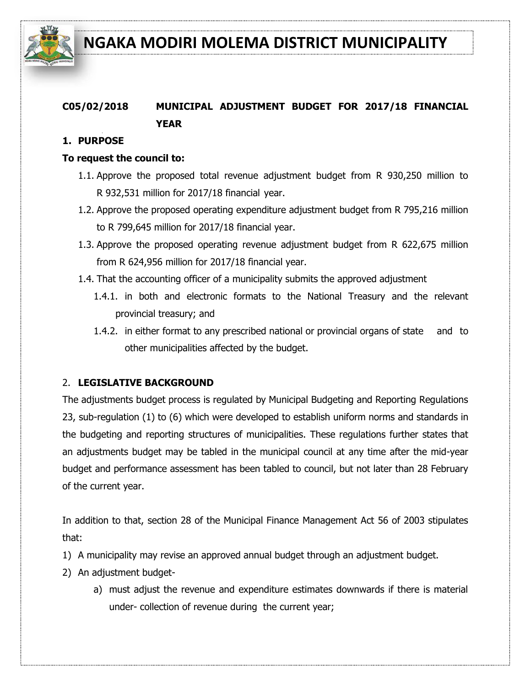

## **C05/02/2018 MUNICIPAL ADJUSTMENT BUDGET FOR 2017/18 FINANCIAL YEAR**

#### **1. PURPOSE**

#### **To request the council to:**

- 1.1. Approve the proposed total revenue adjustment budget from R 930,250 million to R 932,531 million for 2017/18 financial year.
- 1.2. Approve the proposed operating expenditure adjustment budget from R 795,216 million to R 799,645 million for 2017/18 financial year.
- 1.3. Approve the proposed operating revenue adjustment budget from R 622,675 million from R 624,956 million for 2017/18 financial year.
- 1.4. That the accounting officer of a municipality submits the approved adjustment
	- 1.4.1. in both and electronic formats to the National Treasury and the relevant provincial treasury; and
	- 1.4.2. in either format to any prescribed national or provincial organs of state and to other municipalities affected by the budget.

#### 2. **LEGISLATIVE BACKGROUND**

The adjustments budget process is regulated by Municipal Budgeting and Reporting Regulations 23, sub-regulation (1) to (6) which were developed to establish uniform norms and standards in the budgeting and reporting structures of municipalities. These regulations further states that an adjustments budget may be tabled in the municipal council at any time after the mid-year budget and performance assessment has been tabled to council, but not later than 28 February of the current year.

In addition to that, section 28 of the Municipal Finance Management Act 56 of 2003 stipulates that:

- 1) A municipality may revise an approved annual budget through an adjustment budget.
- 2) An adjustment budget
	- a) must adjust the revenue and expenditure estimates downwards if there is material under- collection of revenue during the current year;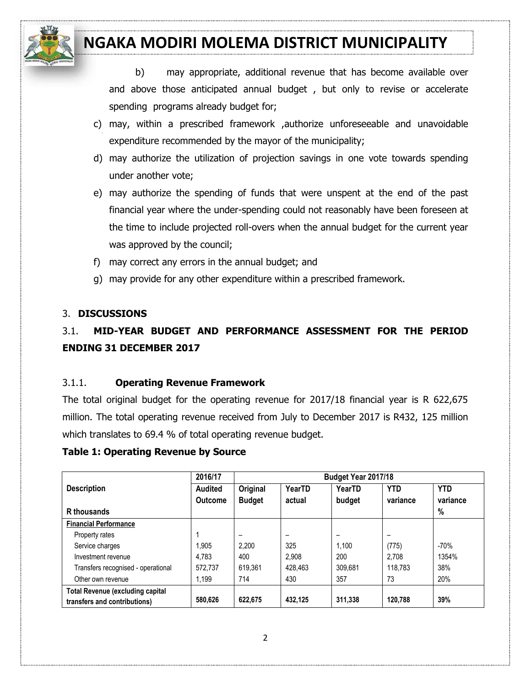

b) may appropriate, additional revenue that has become available over and above those anticipated annual budget , but only to revise or accelerate spending programs already budget for;

- c) may, within a prescribed framework ,authorize unforeseeable and unavoidable expenditure recommended by the mayor of the municipality;
- d) may authorize the utilization of projection savings in one vote towards spending under another vote;
- e) may authorize the spending of funds that were unspent at the end of the past financial year where the under-spending could not reasonably have been foreseen at the time to include projected roll-overs when the annual budget for the current year was approved by the council;
- f) may correct any errors in the annual budget; and
- g) may provide for any other expenditure within a prescribed framework.

#### 3. **DISCUSSIONS**

## 3.1. **MID-YEAR BUDGET AND PERFORMANCE ASSESSMENT FOR THE PERIOD ENDING 31 DECEMBER 2017**

#### 3.1.1. **Operating Revenue Framework**

The total original budget for the operating revenue for 2017/18 financial year is R 622,675 million. The total operating revenue received from July to December 2017 is R432, 125 million which translates to 69.4 % of total operating revenue budget.

#### **Table 1: Operating Revenue by Source**

|                                                                         | 2016/17        |               |                          | Budget Year 2017/18      |            |            |
|-------------------------------------------------------------------------|----------------|---------------|--------------------------|--------------------------|------------|------------|
| <b>Description</b>                                                      | <b>Audited</b> | Original      | YearTD                   | YearTD                   | <b>YTD</b> | <b>YTD</b> |
|                                                                         | <b>Outcome</b> | <b>Budget</b> | actual                   | budget                   | variance   | variance   |
| R thousands                                                             |                |               |                          |                          |            | %          |
| <b>Financial Performance</b>                                            |                |               |                          |                          |            |            |
| Property rates                                                          |                | -             | $\overline{\phantom{0}}$ | $\overline{\phantom{0}}$ |            |            |
| Service charges                                                         | 1,905          | 2.200         | 325                      | 1.100                    | (775)      | $-70%$     |
| Investment revenue                                                      | 4.783          | 400           | 2.908                    | 200                      | 2.708      | 1354%      |
| Transfers recognised - operational                                      | 572.737        | 619.361       | 428.463                  | 309.681                  | 118.783    | 38%        |
| Other own revenue                                                       | 1.199          | 714           | 430                      | 357                      | 73         | 20%        |
| <b>Total Revenue (excluding capital</b><br>transfers and contributions) | 580.626        | 622.675       | 432.125                  | 311.338                  | 120.788    | 39%        |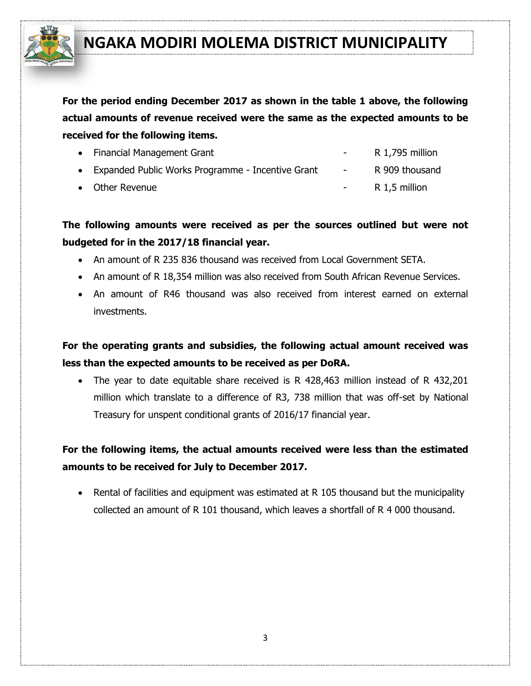

**For the period ending December 2017 as shown in the table 1 above, the following actual amounts of revenue received were the same as the expected amounts to be received for the following items.**

| • Financial Management Grant                        | <b>Contract Contract</b> | R 1,795 million |
|-----------------------------------------------------|--------------------------|-----------------|
| • Expanded Public Works Programme - Incentive Grant | <b>Service</b>           | R 909 thousand  |
| • Other Revenue                                     |                          | R 1,5 million   |

**The following amounts were received as per the sources outlined but were not budgeted for in the 2017/18 financial year.** 

- An amount of R 235 836 thousand was received from Local Government SETA.
- An amount of R 18,354 million was also received from South African Revenue Services.
- An amount of R46 thousand was also received from interest earned on external investments.

**For the operating grants and subsidies, the following actual amount received was less than the expected amounts to be received as per DoRA.**

 The year to date equitable share received is R 428,463 million instead of R 432,201 million which translate to a difference of R3, 738 million that was off-set by National Treasury for unspent conditional grants of 2016/17 financial year.

## **For the following items, the actual amounts received were less than the estimated amounts to be received for July to December 2017.**

• Rental of facilities and equipment was estimated at R 105 thousand but the municipality collected an amount of R 101 thousand, which leaves a shortfall of R 4 000 thousand.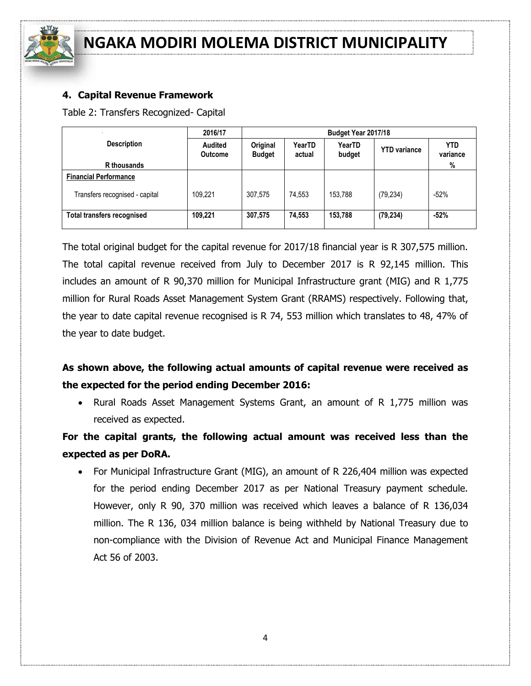

#### **4. Capital Revenue Framework**

Table 2: Transfers Recognized- Capital

| 2016/17<br>Budget Year 2017/18    |                                  |                           |                  |                  |                     |                        |
|-----------------------------------|----------------------------------|---------------------------|------------------|------------------|---------------------|------------------------|
| <b>Description</b>                | <b>Audited</b><br><b>Outcome</b> | Original<br><b>Budget</b> | YearTD<br>actual | YearTD<br>budget | <b>YTD</b> variance | <b>YTD</b><br>variance |
| R thousands                       |                                  |                           |                  |                  |                     | %                      |
| <b>Financial Performance</b>      |                                  |                           |                  |                  |                     |                        |
| Transfers recognised - capital    | 109.221                          | 307,575                   | 74,553           | 153.788          | (79, 234)           | $-52%$                 |
| <b>Total transfers recognised</b> | 109,221                          | 307,575                   | 74,553           | 153,788          | (79, 234)           | $-52%$                 |

The total original budget for the capital revenue for 2017/18 financial year is R 307,575 million. The total capital revenue received from July to December 2017 is R 92,145 million. This includes an amount of R 90,370 million for Municipal Infrastructure grant (MIG) and R 1,775 million for Rural Roads Asset Management System Grant (RRAMS) respectively. Following that, the year to date capital revenue recognised is R 74, 553 million which translates to 48, 47% of the year to date budget.

## **As shown above, the following actual amounts of capital revenue were received as the expected for the period ending December 2016:**

• Rural Roads Asset Management Systems Grant, an amount of R 1,775 million was received as expected.

**For the capital grants, the following actual amount was received less than the expected as per DoRA.**

 For Municipal Infrastructure Grant (MIG), an amount of R 226,404 million was expected for the period ending December 2017 as per National Treasury payment schedule. However, only R 90, 370 million was received which leaves a balance of R 136,034 million. The R 136, 034 million balance is being withheld by National Treasury due to non-compliance with the Division of Revenue Act and Municipal Finance Management Act 56 of 2003.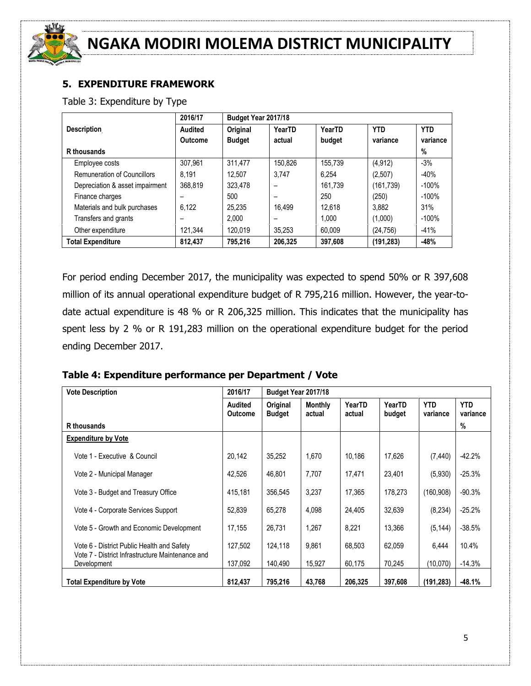

### **5. EXPENDITURE FRAMEWORK**

Table 3: Expenditure by Type

|                                    | 2016/17        | Budget Year 2017/18 |         |         |            |            |
|------------------------------------|----------------|---------------------|---------|---------|------------|------------|
| <b>Description</b>                 | <b>Audited</b> | Original            | YearTD  | YearTD  | <b>YTD</b> | <b>YTD</b> |
|                                    | <b>Outcome</b> | <b>Budget</b>       | actual  | budget  | variance   | variance   |
| R thousands                        |                |                     |         |         |            | %          |
| Employee costs                     | 307,961        | 311,477             | 150.826 | 155.739 | (4, 912)   | $-3%$      |
| <b>Remuneration of Councillors</b> | 8.191          | 12.507              | 3.747   | 6.254   | (2,507)    | $-40%$     |
| Depreciation & asset impairment    | 368.819        | 323.478             |         | 161.739 | (161, 739) | $-100\%$   |
| Finance charges                    |                | 500                 |         | 250     | (250)      | $-100%$    |
| Materials and bulk purchases       | 6.122          | 25.235              | 16.499  | 12.618  | 3.882      | 31%        |
| Transfers and grants               |                | 2.000               |         | 1.000   | (1,000)    | $-100%$    |
| Other expenditure                  | 121.344        | 120.019             | 35.253  | 60.009  | (24, 756)  | $-41%$     |
| <b>Total Expenditure</b>           | 812.437        | 795.216             | 206,325 | 397,608 | (191, 283) | $-48%$     |

For period ending December 2017, the municipality was expected to spend 50% or R 397,608 million of its annual operational expenditure budget of R 795,216 million. However, the year-todate actual expenditure is 48 % or R 206,325 million. This indicates that the municipality has spent less by 2 % or R 191,283 million on the operational expenditure budget for the period ending December 2017.

#### **Table 4: Expenditure performance per Department / Vote**

| <b>Vote Description</b>                                                                        | 2016/17                          | Budget Year 2017/18       |                          |                  |                  |                        |                        |
|------------------------------------------------------------------------------------------------|----------------------------------|---------------------------|--------------------------|------------------|------------------|------------------------|------------------------|
|                                                                                                | <b>Audited</b><br><b>Outcome</b> | Original<br><b>Budget</b> | <b>Monthly</b><br>actual | YearTD<br>actual | YearTD<br>budget | <b>YTD</b><br>variance | <b>YTD</b><br>variance |
| R thousands                                                                                    |                                  |                           |                          |                  |                  |                        | $\%$                   |
| <b>Expenditure by Vote</b>                                                                     |                                  |                           |                          |                  |                  |                        |                        |
| Vote 1 - Executive & Council                                                                   | 20,142                           | 35,252                    | 1,670                    | 10,186           | 17,626           | (7, 440)               | $-42.2%$               |
| Vote 2 - Municipal Manager                                                                     | 42,526                           | 46,801                    | 7,707                    | 17,471           | 23,401           | (5,930)                | $-25.3%$               |
| Vote 3 - Budget and Treasury Office                                                            | 415,181                          | 356,545                   | 3,237                    | 17,365           | 178,273          | (160.908)              | $-90.3%$               |
| Vote 4 - Corporate Services Support                                                            | 52,839                           | 65,278                    | 4,098                    | 24,405           | 32,639           | (8, 234)               | $-25.2%$               |
| Vote 5 - Growth and Economic Development                                                       | 17,155                           | 26.731                    | 1.267                    | 8,221            | 13.366           | (5, 144)               | $-38.5%$               |
| Vote 6 - District Public Health and Safety<br>Vote 7 - District Infrastructure Maintenance and | 127,502                          | 124,118                   | 9.861                    | 68,503           | 62,059           | 6,444                  | 10.4%                  |
| Development                                                                                    | 137,092                          | 140,490                   | 15,927                   | 60,175           | 70,245           | (10,070)               | $-14.3%$               |
| <b>Total Expenditure by Vote</b>                                                               | 812,437                          | 795,216                   | 43,768                   | 206,325          | 397,608          | (191, 283)             | $-48.1%$               |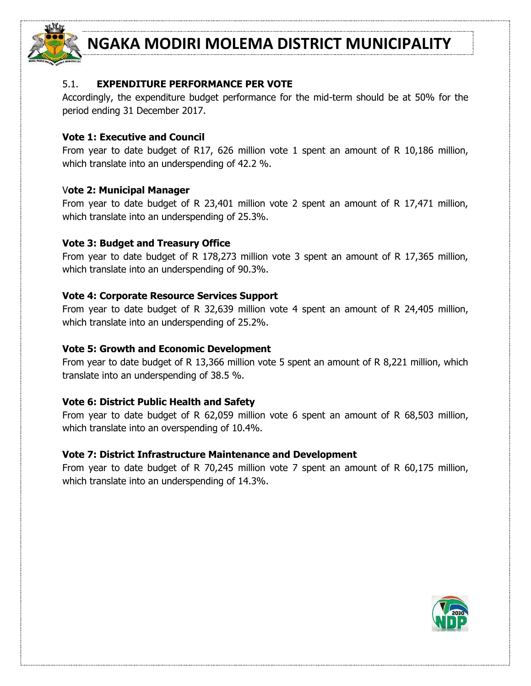

#### 5.1. **EXPENDITURE PERFORMANCE PER VOTE**

Accordingly, the expenditure budget performance for the mid-term should be at 50% for the period ending 31 December 2017.

#### **Vote 1: Executive and Council**

From year to date budget of R17, 626 million vote 1 spent an amount of R 10,186 million, which translate into an underspending of 42.2 %.

#### V**ote 2: Municipal Manager**

From year to date budget of R 23,401 million vote 2 spent an amount of R 17,471 million, which translate into an underspending of 25.3%.

#### **Vote 3: Budget and Treasury Office**

From year to date budget of R 178,273 million vote 3 spent an amount of R 17,365 million, which translate into an underspending of 90.3%.

#### **Vote 4: Corporate Resource Services Support**

From year to date budget of R 32,639 million vote 4 spent an amount of R 24,405 million, which translate into an underspending of 25.2%.

#### **Vote 5: Growth and Economic Development**

From year to date budget of R 13,366 million vote 5 spent an amount of R 8,221 million, which translate into an underspending of 38.5 %.

#### **Vote 6: District Public Health and Safety**

From year to date budget of R 62,059 million vote 6 spent an amount of R 68,503 million, which translate into an overspending of 10.4%.

#### **Vote 7: District Infrastructure Maintenance and Development**

From year to date budget of R 70,245 million vote 7 spent an amount of R 60,175 million, which translate into an underspending of 14.3%.

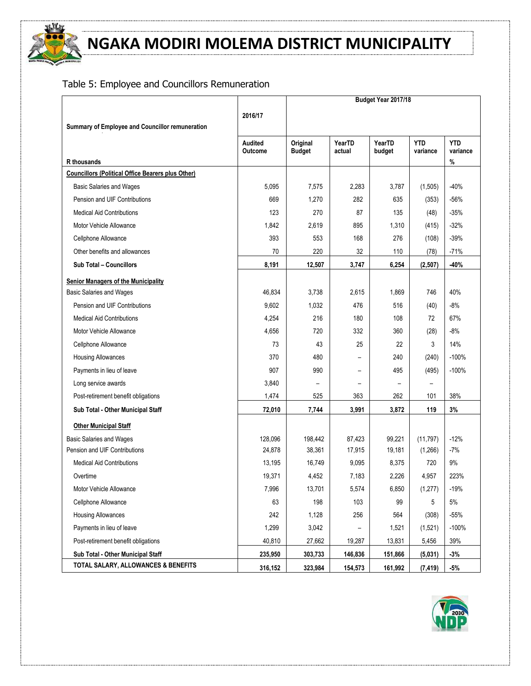

## Table 5: Employee and Councillors Remuneration

|                                                          |                           | Budget Year 2017/18       |                          |                  |                        |                        |
|----------------------------------------------------------|---------------------------|---------------------------|--------------------------|------------------|------------------------|------------------------|
|                                                          | 2016/17                   |                           |                          |                  |                        |                        |
| Summary of Employee and Councillor remuneration          |                           |                           |                          |                  |                        |                        |
|                                                          | Audited<br><b>Outcome</b> | Original<br><b>Budget</b> | YearTD<br>actual         | YearTD<br>budget | <b>YTD</b><br>variance | <b>YTD</b><br>variance |
| R thousands                                              |                           |                           |                          |                  |                        | %                      |
| <b>Councillors (Political Office Bearers plus Other)</b> |                           |                           |                          |                  |                        |                        |
| <b>Basic Salaries and Wages</b>                          | 5,095                     | 7,575                     | 2,283                    | 3,787            | (1, 505)               | $-40%$                 |
| Pension and UIF Contributions                            | 669                       | 1,270                     | 282                      | 635              | (353)                  | $-56%$                 |
| <b>Medical Aid Contributions</b>                         | 123                       | 270                       | 87                       | 135              | (48)                   | $-35%$                 |
| Motor Vehicle Allowance                                  | 1,842                     | 2,619                     | 895                      | 1,310            | (415)                  | $-32%$                 |
| Cellphone Allowance                                      | 393                       | 553                       | 168                      | 276              | (108)                  | $-39%$                 |
| Other benefits and allowances                            | 70                        | 220                       | 32                       | 110              | (78)                   | $-71%$                 |
| Sub Total - Councillors                                  | 8,191                     | 12,507                    | 3,747                    | 6,254            | (2,507)                | $-40%$                 |
| <b>Senior Managers of the Municipality</b>               |                           |                           |                          |                  |                        |                        |
| <b>Basic Salaries and Wages</b>                          | 46,834                    | 3,738                     | 2,615                    | 1,869            | 746                    | 40%                    |
| Pension and UIF Contributions                            | 9,602                     | 1,032                     | 476                      | 516              | (40)                   | $-8%$                  |
| <b>Medical Aid Contributions</b>                         | 4,254                     | 216                       | 180                      | 108              | 72                     | 67%                    |
| Motor Vehicle Allowance                                  | 4,656                     | 720                       | 332                      | 360              | (28)                   | $-8%$                  |
| Cellphone Allowance                                      | 73                        | 43                        | 25                       | 22               | 3                      | 14%                    |
| <b>Housing Allowances</b>                                | 370                       | 480                       |                          | 240              | (240)                  | $-100%$                |
| Payments in lieu of leave                                | 907                       | 990                       | $\overline{\phantom{0}}$ | 495              | (495)                  | $-100%$                |
| Long service awards                                      | 3,840                     |                           |                          |                  |                        |                        |
| Post-retirement benefit obligations                      | 1,474                     | 525                       | 363                      | 262              | 101                    | 38%                    |
| Sub Total - Other Municipal Staff                        | 72,010                    | 7,744                     | 3,991                    | 3,872            | 119                    | $3\%$                  |
| <b>Other Municipal Staff</b>                             |                           |                           |                          |                  |                        |                        |
| <b>Basic Salaries and Wages</b>                          | 128,096                   | 198,442                   | 87,423                   | 99,221           | (11, 797)              | $-12%$                 |
| Pension and UIF Contributions                            | 24,878                    | 38,361                    | 17,915                   | 19,181           | (1,266)                | $-7%$                  |
| <b>Medical Aid Contributions</b>                         | 13,195                    | 16,749                    | 9,095                    | 8,375            | 720                    | 9%                     |
| Overtime                                                 | 19,371                    | 4,452                     | 7,183                    | 2,226            | 4,957                  | 223%                   |
| Motor Vehicle Allowance                                  | 7,996                     | 13,701                    | 5,574                    | 6,850            | (1, 277)               | $-19%$                 |
| Cellphone Allowance                                      | 63                        | 198                       | 103                      | 99               | 5                      | 5%                     |
| <b>Housing Allowances</b>                                | 242                       | 1,128                     | 256                      | 564              | (308)                  | $-55%$                 |
| Payments in lieu of leave                                | 1,299                     | 3,042                     |                          | 1,521            | (1,521)                | $-100%$                |
| Post-retirement benefit obligations                      | 40,810                    | 27,662                    | 19,287                   | 13,831           | 5,456                  | 39%                    |
| Sub Total - Other Municipal Staff                        | 235,950                   | 303,733                   | 146,836                  | 151,866          | (5,031)                | $-3%$                  |
| TOTAL SALARY, ALLOWANCES & BENEFITS                      | 316,152                   | 323,984                   | 154,573                  | 161,992          | (7, 419)               | $-5%$                  |

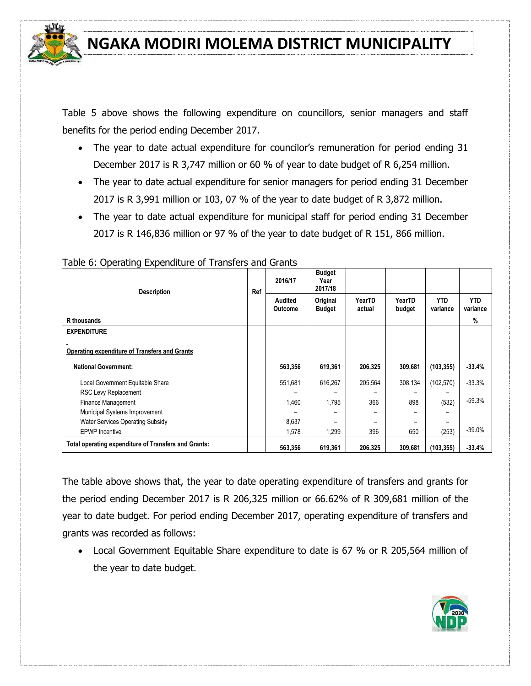

Table 5 above shows the following expenditure on councillors, senior managers and staff benefits for the period ending December 2017.

- The year to date actual expenditure for councilor's remuneration for period ending 31 December 2017 is R 3,747 million or 60 % of year to date budget of R 6,254 million.
- The year to date actual expenditure for senior managers for period ending 31 December 2017 is R 3,991 million or 103, 07 % of the year to date budget of R 3,872 million.
- The year to date actual expenditure for municipal staff for period ending 31 December 2017 is R 146,836 million or 97 % of the year to date budget of R 151, 866 million.

|                                                      | <b>Description</b> | Ref |  | 2016/17                   | <b>Budget</b><br>Year<br>2017/18 |                  |                  |                        |                        |
|------------------------------------------------------|--------------------|-----|--|---------------------------|----------------------------------|------------------|------------------|------------------------|------------------------|
|                                                      |                    |     |  | Audited<br><b>Outcome</b> | Original<br><b>Budget</b>        | YearTD<br>actual | YearTD<br>budget | <b>YTD</b><br>variance | <b>YTD</b><br>variance |
| R thousands                                          |                    |     |  |                           |                                  |                  |                  |                        | %                      |
| <b>EXPENDITURE</b>                                   |                    |     |  |                           |                                  |                  |                  |                        |                        |
| <b>Operating expenditure of Transfers and Grants</b> |                    |     |  |                           |                                  |                  |                  |                        |                        |
| <b>National Government:</b>                          |                    |     |  | 563,356                   | 619,361                          | 206,325          | 309,681          | (103, 355)             | -33.4%                 |
| Local Government Equitable Share                     |                    |     |  | 551,681                   | 616,267                          | 205,564          | 308,134          | (102, 570)             | $-33.3%$               |
| RSC Levy Replacement                                 |                    |     |  |                           |                                  |                  |                  |                        |                        |
| Finance Management                                   |                    |     |  | 1,460                     | 1,795                            | 366              | 898              | (532)                  | $-59.3%$               |
| Municipal Systems Improvement                        |                    |     |  |                           |                                  |                  |                  |                        |                        |
| <b>Water Services Operating Subsidy</b>              |                    |     |  | 8,637                     |                                  |                  |                  |                        |                        |
| <b>EPWP</b> Incentive                                |                    |     |  | 1,578                     | 1,299                            | 396              | 650              | (253)                  | $-39.0%$               |
| Total operating expenditure of Transfers and Grants: |                    |     |  | 563,356                   | 619,361                          | 206,325          | 309,681          | (103, 355)             | -33.4%                 |

Table 6: Operating Expenditure of Transfers and Grants

The table above shows that, the year to date operating expenditure of transfers and grants for the period ending December 2017 is R 206,325 million or 66.62% of R 309,681 million of the year to date budget. For period ending December 2017, operating expenditure of transfers and grants was recorded as follows:

 Local Government Equitable Share expenditure to date is 67 % or R 205,564 million of the year to date budget.

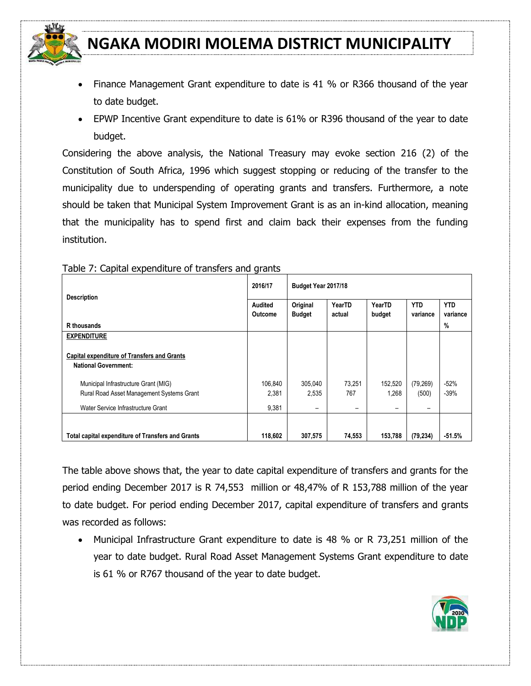

- Finance Management Grant expenditure to date is 41 % or R366 thousand of the year to date budget.
- EPWP Incentive Grant expenditure to date is 61% or R396 thousand of the year to date budget.

Considering the above analysis, the National Treasury may evoke section 216 (2) of the Constitution of South Africa, 1996 which suggest stopping or reducing of the transfer to the municipality due to underspending of operating grants and transfers. Furthermore, a note should be taken that Municipal System Improvement Grant is as an in-kind allocation, meaning that the municipality has to spend first and claim back their expenses from the funding institution.

| <b>Description</b>                                                                | 2016/17                   | Budget Year 2017/18       |                          |                  |                        |                        |
|-----------------------------------------------------------------------------------|---------------------------|---------------------------|--------------------------|------------------|------------------------|------------------------|
|                                                                                   | Audited<br><b>Outcome</b> | Original<br><b>Budget</b> | YearTD<br>actual         | YearTD<br>budget | <b>YTD</b><br>variance | <b>YTD</b><br>variance |
| R thousands                                                                       |                           |                           |                          |                  |                        | $\%$                   |
| <b>EXPENDITURE</b>                                                                |                           |                           |                          |                  |                        |                        |
| <b>Capital expenditure of Transfers and Grants</b><br><b>National Government:</b> |                           |                           |                          |                  |                        |                        |
| Municipal Infrastructure Grant (MIG)                                              | 106.840                   | 305,040                   | 73,251                   | 152.520          | (79, 269)              | $-52%$                 |
| Rural Road Asset Management Systems Grant                                         | 2,381                     | 2,535                     | 767                      | 1,268            | (500)                  | $-39%$                 |
| Water Service Infrastructure Grant                                                | 9,381                     | $\overline{\phantom{0}}$  | $\overline{\phantom{0}}$ | -                | -                      |                        |
|                                                                                   |                           |                           |                          |                  |                        |                        |
| <b>Total capital expenditure of Transfers and Grants</b>                          | 118.602                   | 307,575                   | 74,553                   | 153.788          | (79, 234)              | $-51.5%$               |

Table 7: Capital expenditure of transfers and grants

The table above shows that, the year to date capital expenditure of transfers and grants for the period ending December 2017 is R 74,553 million or 48,47% of R 153,788 million of the year to date budget. For period ending December 2017, capital expenditure of transfers and grants was recorded as follows:

 Municipal Infrastructure Grant expenditure to date is 48 % or R 73,251 million of the year to date budget. Rural Road Asset Management Systems Grant expenditure to date is 61 % or R767 thousand of the year to date budget.

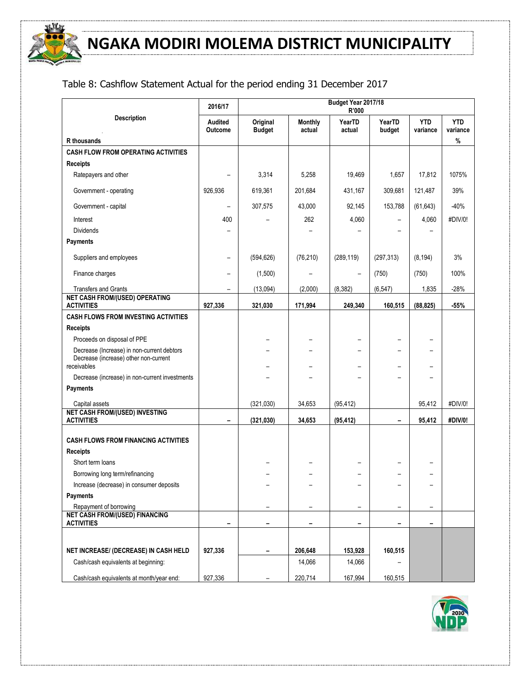

## Table 8: Cashflow Statement Actual for the period ending 31 December 2017

|                                                                                     | 2016/17                   |                           |                          | Budget Year 2017/18<br>R'000 |                          |                        |                                |
|-------------------------------------------------------------------------------------|---------------------------|---------------------------|--------------------------|------------------------------|--------------------------|------------------------|--------------------------------|
| <b>Description</b><br>R thousands                                                   | <b>Audited</b><br>Outcome | Original<br><b>Budget</b> | <b>Monthly</b><br>actual | YearTD<br>actual             | YearTD<br>budget         | <b>YTD</b><br>variance | <b>YTD</b><br>variance<br>$\%$ |
| <b>CASH FLOW FROM OPERATING ACTIVITIES</b>                                          |                           |                           |                          |                              |                          |                        |                                |
| <b>Receipts</b>                                                                     |                           |                           |                          |                              |                          |                        |                                |
| Ratepayers and other                                                                |                           | 3,314                     | 5,258                    | 19,469                       | 1,657                    | 17,812                 | 1075%                          |
| Government - operating                                                              | 926,936                   | 619,361                   | 201,684                  | 431,167                      | 309,681                  | 121,487                | 39%                            |
| Government - capital                                                                |                           | 307,575                   | 43,000                   | 92,145                       | 153,788                  | (61, 643)              | $-40%$                         |
| Interest                                                                            | 400                       |                           | 262                      | 4,060                        |                          | 4,060                  | #DIV/0!                        |
| <b>Dividends</b>                                                                    |                           |                           |                          |                              |                          |                        |                                |
| <b>Payments</b>                                                                     |                           |                           |                          |                              |                          |                        |                                |
| Suppliers and employees                                                             | $\qquad \qquad -$         | (594, 626)                | (76, 210)                | (289, 119)                   | (297, 313)               | (8, 194)               | 3%                             |
| Finance charges                                                                     |                           | (1,500)                   |                          |                              | (750)                    | (750)                  | 100%                           |
| <b>Transfers and Grants</b>                                                         |                           | (13,094)                  | (2,000)                  | (8, 382)                     | (6, 547)                 | 1,835                  | $-28%$                         |
| <b>NET CASH FROM/(USED) OPERATING</b><br><b>ACTIVITIES</b>                          | 927,336                   | 321,030                   | 171,994                  | 249,340                      | 160,515                  | (88, 825)              | $-55%$                         |
| <b>CASH FLOWS FROM INVESTING ACTIVITIES</b>                                         |                           |                           |                          |                              |                          |                        |                                |
| <b>Receipts</b>                                                                     |                           |                           |                          |                              |                          |                        |                                |
| Proceeds on disposal of PPE                                                         |                           |                           |                          |                              |                          |                        |                                |
| Decrease (Increase) in non-current debtors<br>Decrease (increase) other non-current |                           |                           |                          |                              |                          |                        |                                |
| receivables                                                                         |                           |                           |                          |                              |                          |                        |                                |
| Decrease (increase) in non-current investments                                      |                           |                           |                          |                              |                          |                        |                                |
| Payments                                                                            |                           |                           |                          |                              |                          |                        |                                |
| Capital assets                                                                      |                           | (321,030)                 | 34,653                   | (95, 412)                    |                          | 95,412                 | #DIV/0!                        |
| <b>NET CASH FROM/(USED) INVESTING</b><br><b>ACTIVITIES</b>                          |                           | (321, 030)                | 34,653                   | (95, 412)                    | $\overline{\phantom{0}}$ | 95,412                 | #DIV/0!                        |
| <b>CASH FLOWS FROM FINANCING ACTIVITIES</b>                                         |                           |                           |                          |                              |                          |                        |                                |
| <b>Receipts</b>                                                                     |                           |                           |                          |                              |                          |                        |                                |
| Short term loans                                                                    |                           |                           |                          |                              |                          |                        |                                |
| Borrowing long term/refinancing                                                     |                           |                           |                          |                              |                          |                        |                                |
| Increase (decrease) in consumer deposits                                            |                           |                           |                          |                              |                          |                        |                                |
| Payments                                                                            |                           |                           |                          |                              |                          |                        |                                |
| Repayment of borrowing                                                              |                           |                           |                          | —                            |                          |                        |                                |
| <b>NET CASH FROM/(USED) FINANCING</b><br><b>ACTIVITIES</b>                          | -                         |                           |                          | -                            | -                        |                        |                                |
|                                                                                     |                           |                           |                          |                              |                          |                        |                                |
| NET INCREASE/ (DECREASE) IN CASH HELD                                               | 927,336                   |                           | 206,648                  | 153,928                      | 160,515                  |                        |                                |
| Cash/cash equivalents at beginning:                                                 |                           |                           | 14,066                   | 14,066                       |                          |                        |                                |
| Cash/cash equivalents at month/year end:                                            | 927,336                   |                           | 220,714                  | 167,994                      | 160,515                  |                        |                                |

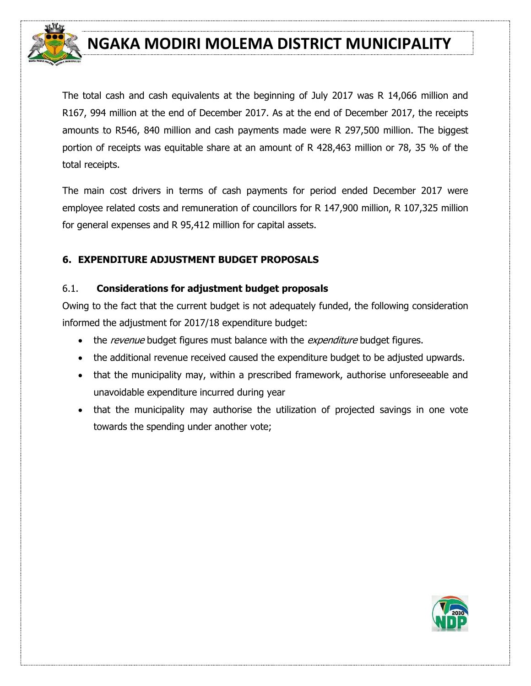

The total cash and cash equivalents at the beginning of July 2017 was R 14,066 million and R167, 994 million at the end of December 2017. As at the end of December 2017, the receipts amounts to R546, 840 million and cash payments made were R 297,500 million. The biggest portion of receipts was equitable share at an amount of R 428,463 million or 78, 35 % of the total receipts.

The main cost drivers in terms of cash payments for period ended December 2017 were employee related costs and remuneration of councillors for R 147,900 million, R 107,325 million for general expenses and R 95,412 million for capital assets.

#### **6. EXPENDITURE ADJUSTMENT BUDGET PROPOSALS**

#### 6.1. **Considerations for adjustment budget proposals**

Owing to the fact that the current budget is not adequately funded, the following consideration informed the adjustment for 2017/18 expenditure budget:

- the revenue budget figures must balance with the *expenditure* budget figures.
- the additional revenue received caused the expenditure budget to be adjusted upwards.
- that the municipality may, within a prescribed framework, authorise unforeseeable and unavoidable expenditure incurred during year
- that the municipality may authorise the utilization of projected savings in one vote towards the spending under another vote;

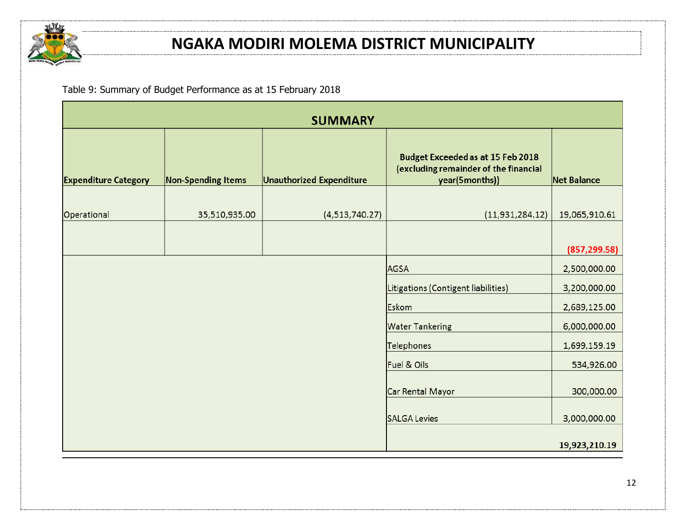

Table 9: Summary of Budget Performance as at 15 February 2018

|                             |                           | <b>SUMMARY</b>                  |                                                                                                     |                    |
|-----------------------------|---------------------------|---------------------------------|-----------------------------------------------------------------------------------------------------|--------------------|
| <b>Expenditure Category</b> | <b>Non-Spending Items</b> | <b>Unauthorized Expenditure</b> | <b>Budget Exceeded as at 15 Feb 2018</b><br>(excluding remainder of the financial<br>year(5months)) | <b>Net Balance</b> |
|                             |                           |                                 |                                                                                                     |                    |
| Operational                 | 35,510,935.00             | (4,513,740.27)                  | (11, 931, 284.12)                                                                                   | 19,065,910.61      |
|                             |                           |                                 |                                                                                                     |                    |
|                             |                           |                                 |                                                                                                     | (857, 299.58)      |
|                             |                           |                                 | AGSA                                                                                                | 2,500,000.00       |
|                             |                           |                                 | Litigations (Contigent liabilities)                                                                 | 3,200,000.00       |
|                             |                           |                                 | Eskom                                                                                               | 2,689,125.00       |
|                             |                           |                                 | <b>Water Tankering</b>                                                                              | 6,000,000.00       |
|                             |                           |                                 | Telephones                                                                                          | 1,699,159.19       |
|                             |                           |                                 | Fuel & Oils                                                                                         | 534,926.00         |
|                             |                           |                                 | Car Rental Mayor                                                                                    | 300,000.00         |
|                             |                           |                                 | SALGA Levies                                                                                        | 3,000,000.00       |
|                             |                           |                                 |                                                                                                     | 19,923,210.19      |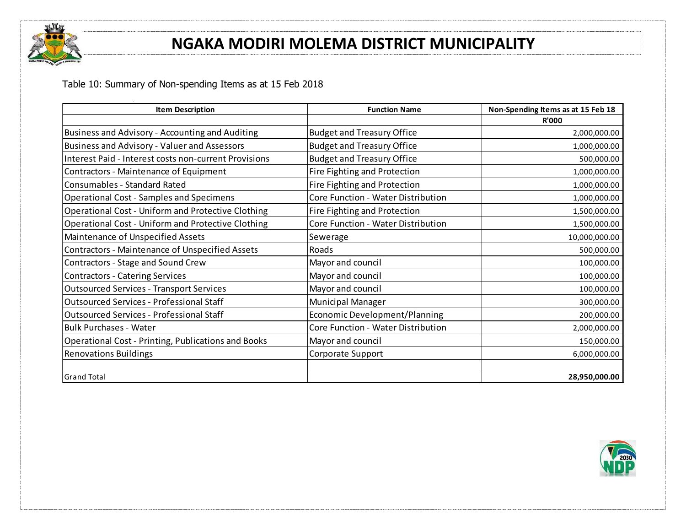

Table 10: Summary of Non-spending Items as at 15 Feb 2018

| <b>Item Description</b>                                   | <b>Function Name</b>               | Non-Spending Items as at 15 Feb 18 |
|-----------------------------------------------------------|------------------------------------|------------------------------------|
|                                                           |                                    | <b>R'000</b>                       |
| Business and Advisory - Accounting and Auditing           | <b>Budget and Treasury Office</b>  | 2,000,000.00                       |
| Business and Advisory - Valuer and Assessors              | <b>Budget and Treasury Office</b>  | 1,000,000.00                       |
| Interest Paid - Interest costs non-current Provisions     | <b>Budget and Treasury Office</b>  | 500,000.00                         |
| Contractors - Maintenance of Equipment                    | Fire Fighting and Protection       | 1,000,000.00                       |
| Consumables - Standard Rated                              | Fire Fighting and Protection       | 1,000,000.00                       |
| <b>Operational Cost - Samples and Specimens</b>           | Core Function - Water Distribution | 1,000,000.00                       |
| <b>Operational Cost - Uniform and Protective Clothing</b> | Fire Fighting and Protection       | 1,500,000.00                       |
| Operational Cost - Uniform and Protective Clothing        | Core Function - Water Distribution | 1,500,000.00                       |
| Maintenance of Unspecified Assets                         | Sewerage                           | 10,000,000.00                      |
| <b>Contractors - Maintenance of Unspecified Assets</b>    | Roads                              | 500,000.00                         |
| Contractors - Stage and Sound Crew                        | Mayor and council                  | 100,000.00                         |
| <b>Contractors - Catering Services</b>                    | Mayor and council                  | 100,000.00                         |
| <b>Outsourced Services - Transport Services</b>           | Mayor and council                  | 100,000.00                         |
| Outsourced Services - Professional Staff                  | <b>Municipal Manager</b>           | 300,000.00                         |
| Outsourced Services - Professional Staff                  | Economic Development/Planning      | 200,000.00                         |
| <b>Bulk Purchases - Water</b>                             | Core Function - Water Distribution | 2,000,000.00                       |
| Operational Cost - Printing, Publications and Books       | Mayor and council                  | 150,000.00                         |
| <b>Renovations Buildings</b>                              | Corporate Support                  | 6,000,000.00                       |
|                                                           |                                    |                                    |
| <b>Grand Total</b>                                        |                                    | 28,950,000.00                      |

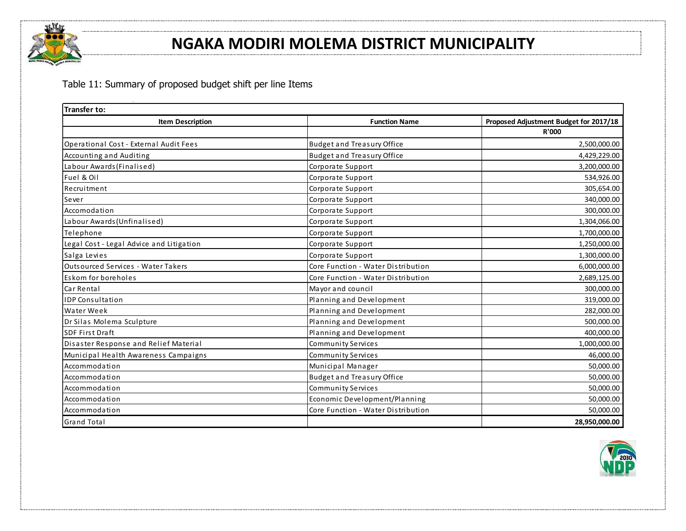

Table 11: Summary of proposed budget shift per line Items

| <b>Transfer to:</b>                       |                                    |                                        |
|-------------------------------------------|------------------------------------|----------------------------------------|
| <b>Item Description</b>                   | <b>Function Name</b>               | Proposed Adjustment Budget for 2017/18 |
|                                           |                                    | <b>R'000</b>                           |
| Operational Cost - External Audit Fees    | <b>Budget and Treasury Office</b>  | 2,500,000.00                           |
| Accounting and Auditing                   | <b>Budget and Treasury Office</b>  | 4,429,229.00                           |
| Labour Awards (Finalised)                 | Corporate Support                  | 3,200,000.00                           |
| Fuel & Oil                                | Corporate Support                  | 534,926.00                             |
| Recruitment                               | Corporate Support                  | 305,654.00                             |
| Sever                                     | Corporate Support                  | 340,000.00                             |
| Accomodation                              | Corporate Support                  | 300,000.00                             |
| Labour Awards (Unfinalised)               | Corporate Support                  | 1,304,066.00                           |
| Telephone                                 | Corporate Support                  | 1,700,000.00                           |
| Legal Cost - Legal Advice and Litigation  | Corporate Support                  | 1,250,000.00                           |
| Salga Levies                              | Corporate Support                  | 1,300,000.00                           |
| <b>Outsourced Services - Water Takers</b> | Core Function - Water Distribution | 6,000,000.00                           |
| Eskom for boreholes                       | Core Function - Water Distribution | 2,689,125.00                           |
| Car Rental                                | Mayor and council                  | 300,000.00                             |
| <b>IDP Consultation</b>                   | Planning and Development           | 319,000.00                             |
| Water Week                                | Planning and Development           | 282,000.00                             |
| Dr Silas Molema Sculpture                 | Planning and Development           | 500,000.00                             |
| <b>SDF First Draft</b>                    | Planning and Development           | 400,000.00                             |
| Disaster Response and Relief Material     | Community Services                 | 1,000,000.00                           |
| Municipal Health Awareness Campaigns      | Community Services                 | 46,000.00                              |
| Accommodation                             | Municipal Manager                  | 50,000.00                              |
| Accommodation                             | <b>Budget and Treasury Office</b>  | 50,000.00                              |
| Accommodation                             | Community Services                 | 50,000.00                              |
| Accommodation                             | Economic Development/Planning      | 50,000.00                              |
| Accommodation                             | Core Function - Water Distribution | 50,000.00                              |
| <b>Grand Total</b>                        |                                    | 28,950,000.00                          |